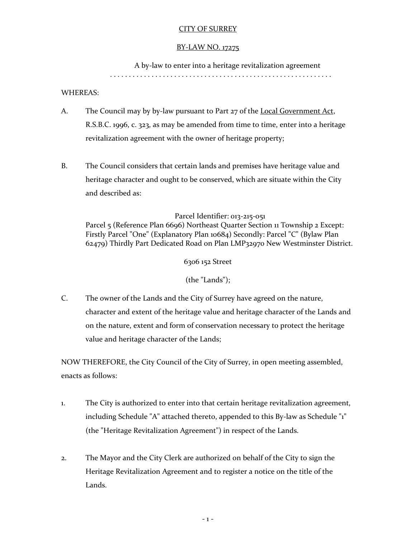# CITY OF SURREY

#### BY-LAW NO. 17275

A by-law to enter into a heritage revitalization agreement

. . . . . . . . . . . . . . . . . . . . . . . . . . . . . . . . . . . . . . . . . . . . . . . . . . . . . . . . . . .

## WHEREAS:

- A. The Council may by by-law pursuant to Part 27 of the Local Government Act, R.S.B.C. 1996, c. 323, as may be amended from time to time, enter into a heritage revitalization agreement with the owner of heritage property;
- B. The Council considers that certain lands and premises have heritage value and heritage character and ought to be conserved, which are situate within the City and described as:

## Parcel Identifier: 013-215-051

Parcel 5 (Reference Plan 6696) Northeast Quarter Section 11 Township 2 Except: Firstly Parcel "One" (Explanatory Plan 10684) Secondly: Parcel "C" (Bylaw Plan 62479) Thirdly Part Dedicated Road on Plan LMP32970 New Westminster District.

6306 152 Street

(the "Lands");

C. The owner of the Lands and the City of Surrey have agreed on the nature, character and extent of the heritage value and heritage character of the Lands and on the nature, extent and form of conservation necessary to protect the heritage value and heritage character of the Lands;

NOW THEREFORE, the City Council of the City of Surrey, in open meeting assembled, enacts as follows:

- 1. The City is authorized to enter into that certain heritage revitalization agreement, including Schedule "A" attached thereto, appended to this By-law as Schedule "1" (the "Heritage Revitalization Agreement") in respect of the Lands.
- 2. The Mayor and the City Clerk are authorized on behalf of the City to sign the Heritage Revitalization Agreement and to register a notice on the title of the Lands.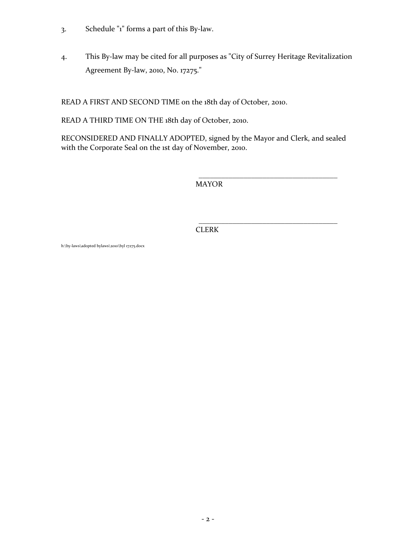- 3. Schedule "1" forms a part of this By-law.
- 4. This By-law may be cited for all purposes as "City of Surrey Heritage Revitalization Agreement By-law, 2010, No. 17275."

READ A FIRST AND SECOND TIME on the 18th day of October, 2010.

READ A THIRD TIME ON THE 18th day of October, 2010.

RECONSIDERED AND FINALLY ADOPTED, signed by the Mayor and Clerk, and sealed with the Corporate Seal on the 1st day of November, 2010.

MAYOR

\_\_\_\_\_\_\_\_\_\_\_\_\_\_\_\_\_\_\_\_\_\_\_\_\_\_\_\_\_\_\_\_\_\_\_\_\_

\_\_\_\_\_\_\_\_\_\_\_\_\_\_\_\_\_\_\_\_\_\_\_\_\_\_\_\_\_\_\_\_\_\_\_\_\_ CLERK

h:\by-laws\adopted bylaws\2010\byl 17275.docx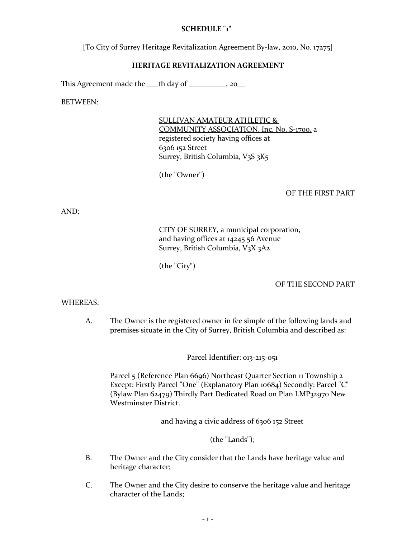## **SCHEDULE "1"**

[To City of Surrey Heritage Revitalization Agreement By-law, 2010, No. 17275]

#### **HERITAGE REVITALIZATION AGREEMENT**

This Agreement made the  $\qquad$  th day of  $\qquad \qquad$ , 20

BETWEEN:

SULLIVAN AMATEUR ATHLETIC & COMMUNITY ASSOCIATION, Inc. No. S-1700, a registered society having offices at 6306 152 Street Surrey, British Columbia, V3S 3K5

(the "Owner")

#### OF THE FIRST PART

AND:

# CITY OF SURREY, a municipal corporation, and having offices at 14245 56 Avenue Surrey, British Columbia, V3X 3A2

(the "City")

## OF THE SECOND PART

#### WHEREAS:

A. The Owner is the registered owner in fee simple of the following lands and premises situate in the City of Surrey, British Columbia and described as:

Parcel Identifier: 013-215-051

Parcel 5 (Reference Plan 6696) Northeast Quarter Section 11 Township 2 Except: Firstly Parcel "One" (Explanatory Plan 10684) Secondly: Parcel "C" (Bylaw Plan 62479) Thirdly Part Dedicated Road on Plan LMP32970 New Westminster District.

and having a civic address of 6306 152 Street

(the "Lands");

- B. The Owner and the City consider that the Lands have heritage value and heritage character;
- C. The Owner and the City desire to conserve the heritage value and heritage character of the Lands;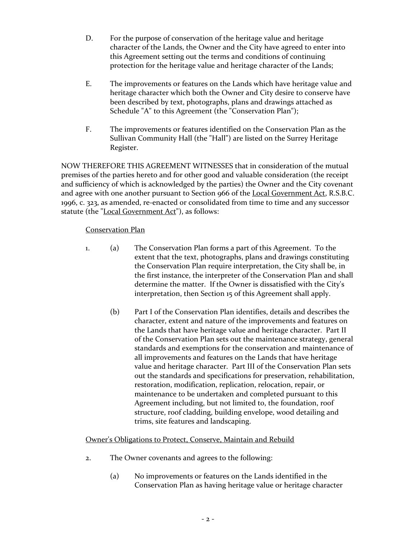- D. For the purpose of conservation of the heritage value and heritage character of the Lands, the Owner and the City have agreed to enter into this Agreement setting out the terms and conditions of continuing protection for the heritage value and heritage character of the Lands;
- E. The improvements or features on the Lands which have heritage value and heritage character which both the Owner and City desire to conserve have been described by text, photographs, plans and drawings attached as Schedule "A" to this Agreement (the "Conservation Plan");
- F. The improvements or features identified on the Conservation Plan as the Sullivan Community Hall (the "Hall") are listed on the Surrey Heritage Register.

NOW THEREFORE THIS AGREEMENT WITNESSES that in consideration of the mutual premises of the parties hereto and for other good and valuable consideration (the receipt and sufficiency of which is acknowledged by the parties) the Owner and the City covenant and agree with one another pursuant to Section 966 of the Local Government Act, R.S.B.C. 1996, c. 323, as amended, re-enacted or consolidated from time to time and any successor statute (the "Local Government Act"), as follows:

# Conservation Plan

- 1. (a) The Conservation Plan forms a part of this Agreement. To the extent that the text, photographs, plans and drawings constituting the Conservation Plan require interpretation, the City shall be, in the first instance, the interpreter of the Conservation Plan and shall determine the matter. If the Owner is dissatisfied with the City's interpretation, then Section 15 of this Agreement shall apply.
	- (b) Part I of the Conservation Plan identifies, details and describes the character, extent and nature of the improvements and features on the Lands that have heritage value and heritage character. Part II of the Conservation Plan sets out the maintenance strategy, general standards and exemptions for the conservation and maintenance of all improvements and features on the Lands that have heritage value and heritage character. Part III of the Conservation Plan sets out the standards and specifications for preservation, rehabilitation, restoration, modification, replication, relocation, repair, or maintenance to be undertaken and completed pursuant to this Agreement including, but not limited to, the foundation, roof structure, roof cladding, building envelope, wood detailing and trims, site features and landscaping.

# Owner's Obligations to Protect, Conserve, Maintain and Rebuild

- 2. The Owner covenants and agrees to the following:
	- (a) No improvements or features on the Lands identified in the Conservation Plan as having heritage value or heritage character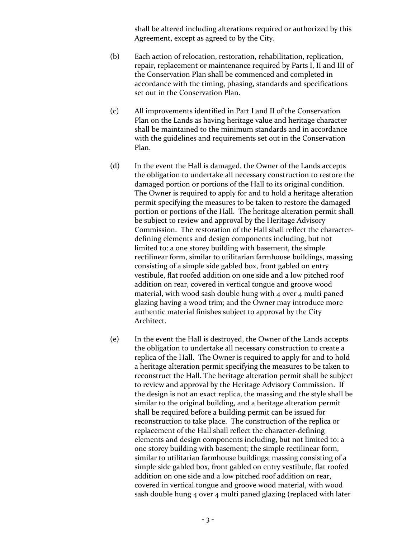shall be altered including alterations required or authorized by this Agreement, except as agreed to by the City.

- (b) Each action of relocation, restoration, rehabilitation, replication, repair, replacement or maintenance required by Parts I, II and III of the Conservation Plan shall be commenced and completed in accordance with the timing, phasing, standards and specifications set out in the Conservation Plan.
- (c) All improvements identified in Part I and II of the Conservation Plan on the Lands as having heritage value and heritage character shall be maintained to the minimum standards and in accordance with the guidelines and requirements set out in the Conservation Plan.
- (d) In the event the Hall is damaged, the Owner of the Lands accepts the obligation to undertake all necessary construction to restore the damaged portion or portions of the Hall to its original condition. The Owner is required to apply for and to hold a heritage alteration permit specifying the measures to be taken to restore the damaged portion or portions of the Hall. The heritage alteration permit shall be subject to review and approval by the Heritage Advisory Commission. The restoration of the Hall shall reflect the characterdefining elements and design components including, but not limited to: a one storey building with basement, the simple rectilinear form, similar to utilitarian farmhouse buildings, massing consisting of a simple side gabled box, front gabled on entry vestibule, flat roofed addition on one side and a low pitched roof addition on rear, covered in vertical tongue and groove wood material, with wood sash double hung with 4 over 4 multi paned glazing having a wood trim; and the Owner may introduce more authentic material finishes subject to approval by the City Architect.
- (e) In the event the Hall is destroyed, the Owner of the Lands accepts the obligation to undertake all necessary construction to create a replica of the Hall. The Owner is required to apply for and to hold a heritage alteration permit specifying the measures to be taken to reconstruct the Hall. The heritage alteration permit shall be subject to review and approval by the Heritage Advisory Commission. If the design is not an exact replica, the massing and the style shall be similar to the original building, and a heritage alteration permit shall be required before a building permit can be issued for reconstruction to take place. The construction of the replica or replacement of the Hall shall reflect the character-defining elements and design components including, but not limited to: a one storey building with basement; the simple rectilinear form, similar to utilitarian farmhouse buildings; massing consisting of a simple side gabled box, front gabled on entry vestibule, flat roofed addition on one side and a low pitched roof addition on rear, covered in vertical tongue and groove wood material, with wood sash double hung 4 over 4 multi paned glazing (replaced with later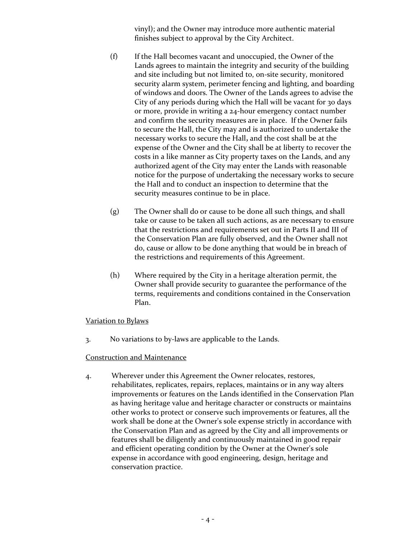vinyl); and the Owner may introduce more authentic material finishes subject to approval by the City Architect.

- (f) If the Hall becomes vacant and unoccupied, the Owner of the Lands agrees to maintain the integrity and security of the building and site including but not limited to, on-site security, monitored security alarm system, perimeter fencing and lighting, and boarding of windows and doors. The Owner of the Lands agrees to advise the City of any periods during which the Hall will be vacant for 30 days or more, provide in writing a 24-hour emergency contact number and confirm the security measures are in place. If the Owner fails to secure the Hall, the City may and is authorized to undertake the necessary works to secure the Hall**,** and the cost shall be at the expense of the Owner and the City shall be at liberty to recover the costs in a like manner as City property taxes on the Lands, and any authorized agent of the City may enter the Lands with reasonable notice for the purpose of undertaking the necessary works to secure the Hall and to conduct an inspection to determine that the security measures continue to be in place.
- (g) The Owner shall do or cause to be done all such things, and shall take or cause to be taken all such actions, as are necessary to ensure that the restrictions and requirements set out in Parts II and III of the Conservation Plan are fully observed, and the Owner shall not do, cause or allow to be done anything that would be in breach of the restrictions and requirements of this Agreement.
- (h) Where required by the City in a heritage alteration permit, the Owner shall provide security to guarantee the performance of the terms, requirements and conditions contained in the Conservation Plan.

## Variation to Bylaws

3. No variations to by-laws are applicable to the Lands.

#### Construction and Maintenance

4. Wherever under this Agreement the Owner relocates, restores, rehabilitates, replicates, repairs, replaces, maintains or in any way alters improvements or features on the Lands identified in the Conservation Plan as having heritage value and heritage character or constructs or maintains other works to protect or conserve such improvements or features, all the work shall be done at the Owner's sole expense strictly in accordance with the Conservation Plan and as agreed by the City and all improvements or features shall be diligently and continuously maintained in good repair and efficient operating condition by the Owner at the Owner's sole expense in accordance with good engineering, design, heritage and conservation practice.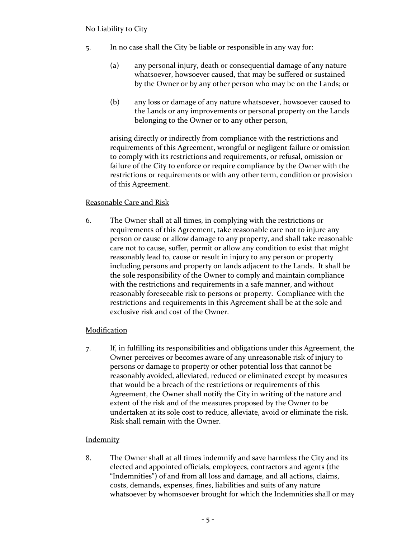- 5. In no case shall the City be liable or responsible in any way for:
	- (a) any personal injury, death or consequential damage of any nature whatsoever, howsoever caused, that may be suffered or sustained by the Owner or by any other person who may be on the Lands; or
	- (b) any loss or damage of any nature whatsoever, howsoever caused to the Lands or any improvements or personal property on the Lands belonging to the Owner or to any other person,

arising directly or indirectly from compliance with the restrictions and requirements of this Agreement, wrongful or negligent failure or omission to comply with its restrictions and requirements, or refusal, omission or failure of the City to enforce or require compliance by the Owner with the restrictions or requirements or with any other term, condition or provision of this Agreement.

# Reasonable Care and Risk

6. The Owner shall at all times, in complying with the restrictions or requirements of this Agreement, take reasonable care not to injure any person or cause or allow damage to any property, and shall take reasonable care not to cause, suffer, permit or allow any condition to exist that might reasonably lead to, cause or result in injury to any person or property including persons and property on lands adjacent to the Lands. It shall be the sole responsibility of the Owner to comply and maintain compliance with the restrictions and requirements in a safe manner, and without reasonably foreseeable risk to persons or property. Compliance with the restrictions and requirements in this Agreement shall be at the sole and exclusive risk and cost of the Owner.

# Modification

7. If, in fulfilling its responsibilities and obligations under this Agreement, the Owner perceives or becomes aware of any unreasonable risk of injury to persons or damage to property or other potential loss that cannot be reasonably avoided, alleviated, reduced or eliminated except by measures that would be a breach of the restrictions or requirements of this Agreement, the Owner shall notify the City in writing of the nature and extent of the risk and of the measures proposed by the Owner to be undertaken at its sole cost to reduce, alleviate, avoid or eliminate the risk. Risk shall remain with the Owner.

# **Indemnity**

8. The Owner shall at all times indemnify and save harmless the City and its elected and appointed officials, employees, contractors and agents (the "Indemnities") of and from all loss and damage, and all actions, claims, costs, demands, expenses, fines, liabilities and suits of any nature whatsoever by whomsoever brought for which the Indemnities shall or may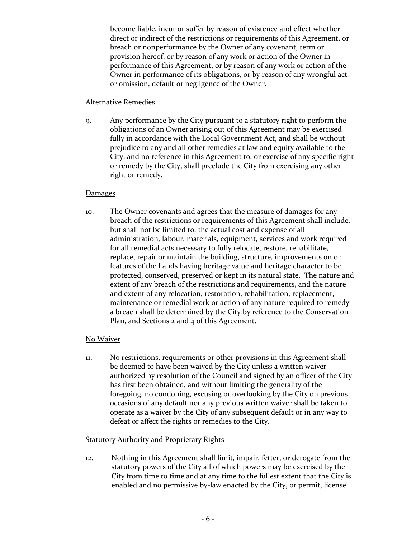become liable, incur or suffer by reason of existence and effect whether direct or indirect of the restrictions or requirements of this Agreement, or breach or nonperformance by the Owner of any covenant, term or provision hereof, or by reason of any work or action of the Owner in performance of this Agreement, or by reason of any work or action of the Owner in performance of its obligations, or by reason of any wrongful act or omission, default or negligence of the Owner.

#### Alternative Remedies

9. Any performance by the City pursuant to a statutory right to perform the obligations of an Owner arising out of this Agreement may be exercised fully in accordance with the Local Government Act, and shall be without prejudice to any and all other remedies at law and equity available to the City, and no reference in this Agreement to, or exercise of any specific right or remedy by the City, shall preclude the City from exercising any other right or remedy.

## Damages

10. The Owner covenants and agrees that the measure of damages for any breach of the restrictions or requirements of this Agreement shall include, but shall not be limited to, the actual cost and expense of all administration, labour, materials, equipment, services and work required for all remedial acts necessary to fully relocate, restore, rehabilitate, replace, repair or maintain the building, structure, improvements on or features of the Lands having heritage value and heritage character to be protected, conserved, preserved or kept in its natural state. The nature and extent of any breach of the restrictions and requirements, and the nature and extent of any relocation, restoration, rehabilitation, replacement, maintenance or remedial work or action of any nature required to remedy a breach shall be determined by the City by reference to the Conservation Plan, and Sections 2 and 4 of this Agreement.

# No Waiver

11. No restrictions, requirements or other provisions in this Agreement shall be deemed to have been waived by the City unless a written waiver authorized by resolution of the Council and signed by an officer of the City has first been obtained, and without limiting the generality of the foregoing, no condoning, excusing or overlooking by the City on previous occasions of any default nor any previous written waiver shall be taken to operate as a waiver by the City of any subsequent default or in any way to defeat or affect the rights or remedies to the City.

# **Statutory Authority and Proprietary Rights**

12. Nothing in this Agreement shall limit, impair, fetter, or derogate from the statutory powers of the City all of which powers may be exercised by the City from time to time and at any time to the fullest extent that the City is enabled and no permissive by-law enacted by the City, or permit, license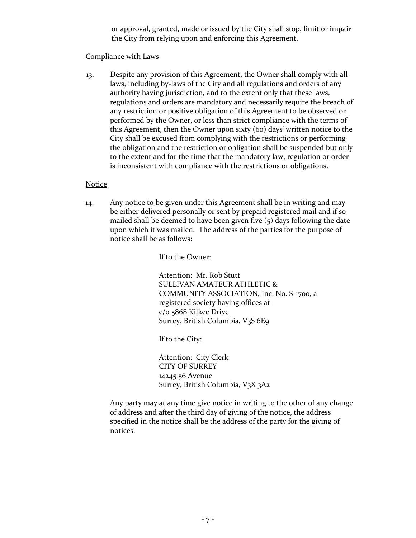or approval, granted, made or issued by the City shall stop, limit or impair the City from relying upon and enforcing this Agreement.

#### Compliance with Laws

13. Despite any provision of this Agreement, the Owner shall comply with all laws, including by-laws of the City and all regulations and orders of any authority having jurisdiction, and to the extent only that these laws, regulations and orders are mandatory and necessarily require the breach of any restriction or positive obligation of this Agreement to be observed or performed by the Owner, or less than strict compliance with the terms of this Agreement, then the Owner upon sixty (60) days' written notice to the City shall be excused from complying with the restrictions or performing the obligation and the restriction or obligation shall be suspended but only to the extent and for the time that the mandatory law, regulation or order is inconsistent with compliance with the restrictions or obligations.

#### Notice

14. Any notice to be given under this Agreement shall be in writing and may be either delivered personally or sent by prepaid registered mail and if so mailed shall be deemed to have been given five (5) days following the date upon which it was mailed. The address of the parties for the purpose of notice shall be as follows:

If to the Owner:

Attention: Mr. Rob Stutt SULLIVAN AMATEUR ATHLETIC & COMMUNITY ASSOCIATION, Inc. No. S-1700, a registered society having offices at c/o 5868 Kilkee Drive Surrey, British Columbia, V3S 6E9

If to the City:

Attention: City Clerk CITY OF SURREY 14245 56 Avenue Surrey, British Columbia, V3X 3A2

Any party may at any time give notice in writing to the other of any change of address and after the third day of giving of the notice, the address specified in the notice shall be the address of the party for the giving of notices.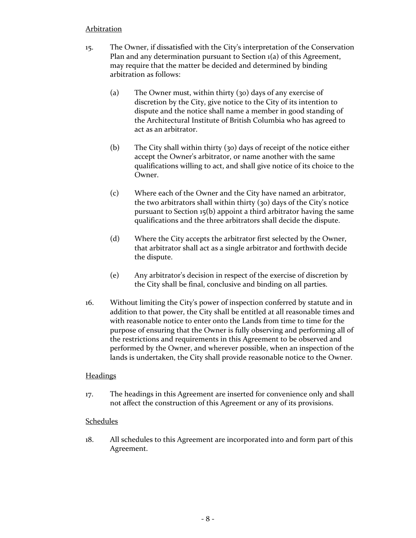## Arbitration

- 15. The Owner, if dissatisfied with the City's interpretation of the Conservation Plan and any determination pursuant to Section 1(a) of this Agreement, may require that the matter be decided and determined by binding arbitration as follows:
	- (a) The Owner must, within thirty (30) days of any exercise of discretion by the City, give notice to the City of its intention to dispute and the notice shall name a member in good standing of the Architectural Institute of British Columbia who has agreed to act as an arbitrator.
	- (b) The City shall within thirty (30) days of receipt of the notice either accept the Owner's arbitrator, or name another with the same qualifications willing to act, and shall give notice of its choice to the Owner.
	- (c) Where each of the Owner and the City have named an arbitrator, the two arbitrators shall within thirty (30) days of the City's notice pursuant to Section 15(b) appoint a third arbitrator having the same qualifications and the three arbitrators shall decide the dispute.
	- (d) Where the City accepts the arbitrator first selected by the Owner, that arbitrator shall act as a single arbitrator and forthwith decide the dispute.
	- (e) Any arbitrator's decision in respect of the exercise of discretion by the City shall be final, conclusive and binding on all parties.
- 16. Without limiting the City's power of inspection conferred by statute and in addition to that power, the City shall be entitled at all reasonable times and with reasonable notice to enter onto the Lands from time to time for the purpose of ensuring that the Owner is fully observing and performing all of the restrictions and requirements in this Agreement to be observed and performed by the Owner, and wherever possible, when an inspection of the lands is undertaken, the City shall provide reasonable notice to the Owner.

# **Headings**

17. The headings in this Agreement are inserted for convenience only and shall not affect the construction of this Agreement or any of its provisions.

## Schedules

18. All schedules to this Agreement are incorporated into and form part of this Agreement.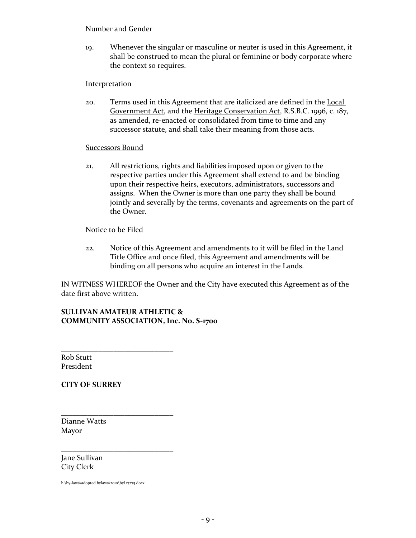#### Number and Gender

19. Whenever the singular or masculine or neuter is used in this Agreement, it shall be construed to mean the plural or feminine or body corporate where the context so requires.

#### Interpretation

20. Terms used in this Agreement that are italicized are defined in the Local Government Act, and the Heritage Conservation Act, R.S.B.C. 1996, c. 187, as amended, re-enacted or consolidated from time to time and any successor statute, and shall take their meaning from those acts.

#### Successors Bound

21. All restrictions, rights and liabilities imposed upon or given to the respective parties under this Agreement shall extend to and be binding upon their respective heirs, executors, administrators, successors and assigns. When the Owner is more than one party they shall be bound jointly and severally by the terms, covenants and agreements on the part of the Owner.

#### Notice to be Filed

\_\_\_\_\_\_\_\_\_\_\_\_\_\_\_\_\_\_\_\_\_\_\_\_\_\_\_\_\_\_

\_\_\_\_\_\_\_\_\_\_\_\_\_\_\_\_\_\_\_\_\_\_\_\_\_\_\_\_\_\_

\_\_\_\_\_\_\_\_\_\_\_\_\_\_\_\_\_\_\_\_\_\_\_\_\_\_\_\_\_\_

22. Notice of this Agreement and amendments to it will be filed in the Land Title Office and once filed, this Agreement and amendments will be binding on all persons who acquire an interest in the Lands.

IN WITNESS WHEREOF the Owner and the City have executed this Agreement as of the date first above written.

## **SULLIVAN AMATEUR ATHLETIC & COMMUNITY ASSOCIATION, Inc. No. S-1700**

Rob Stutt President

## **CITY OF SURREY**

Dianne Watts Mayor

Jane Sullivan City Clerk

h:\by-laws\adopted bylaws\2010\byl 17275.docx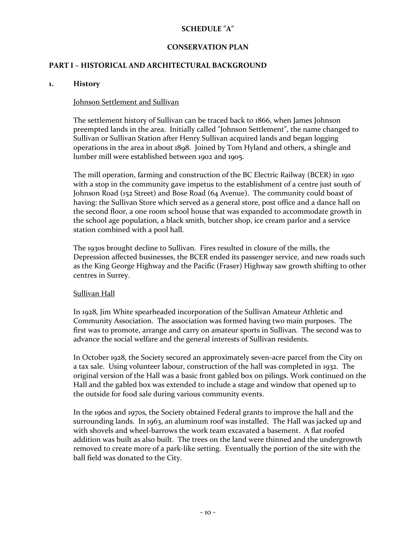## **SCHEDULE "A"**

# **CONSERVATION PLAN**

# **PART I – HISTORICAL AND ARCHITECTURAL BACKGROUND**

#### **1. History**

#### Johnson Settlement and Sullivan

The settlement history of Sullivan can be traced back to 1866, when James Johnson preempted lands in the area. Initially called "Johnson Settlement", the name changed to Sullivan or Sullivan Station after Henry Sullivan acquired lands and began logging operations in the area in about 1898. Joined by Tom Hyland and others, a shingle and lumber mill were established between 1902 and 1905.

The mill operation, farming and construction of the BC Electric Railway (BCER) in 1910 with a stop in the community gave impetus to the establishment of a centre just south of Johnson Road (152 Street) and Bose Road (64 Avenue). The community could boast of having: the Sullivan Store which served as a general store, post office and a dance hall on the second floor, a one room school house that was expanded to accommodate growth in the school age population, a black smith, butcher shop, ice cream parlor and a service station combined with a pool hall.

The 1930s brought decline to Sullivan. Fires resulted in closure of the mills, the Depression affected businesses, the BCER ended its passenger service, and new roads such as the King George Highway and the Pacific (Fraser) Highway saw growth shifting to other centres in Surrey.

#### Sullivan Hall

In 1928, Jim White spearheaded incorporation of the Sullivan Amateur Athletic and Community Association. The association was formed having two main purposes. The first was to promote, arrange and carry on amateur sports in Sullivan. The second was to advance the social welfare and the general interests of Sullivan residents.

In October 1928, the Society secured an approximately seven-acre parcel from the City on a tax sale. Using volunteer labour, construction of the hall was completed in 1932. The original version of the Hall was a basic front gabled box on pilings. Work continued on the Hall and the gabled box was extended to include a stage and window that opened up to the outside for food sale during various community events.

In the 1960s and 1970s, the Society obtained Federal grants to improve the hall and the surrounding lands. In 1963, an aluminum roof was installed. The Hall was jacked up and with shovels and wheel-barrows the work team excavated a basement. A flat roofed addition was built as also built. The trees on the land were thinned and the undergrowth removed to create more of a park-like setting. Eventually the portion of the site with the ball field was donated to the City.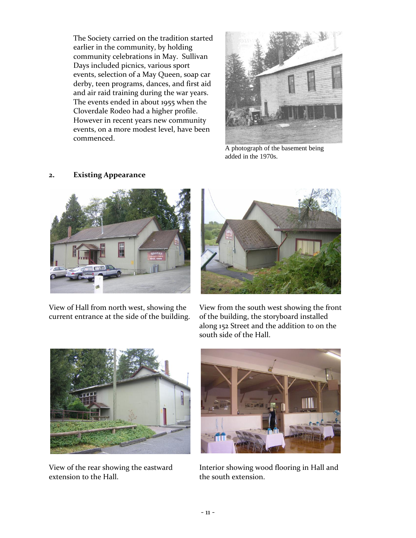The Society carried on the tradition started earlier in the community, by holding community celebrations in May. Sullivan Days included picnics, various sport events, selection of a May Queen, soap car derby, teen programs, dances, and first aid and air raid training during the war years. The events ended in about 1955 when the Cloverdale Rodeo had a higher profile. However in recent years new community events, on a more modest level, have been commenced.



A photograph of the basement being added in the 1970s.



**2. Existing Appearance**

View of Hall from north west, showing the current entrance at the side of the building.



View from the south west showing the front of the building, the storyboard installed along 152 Street and the addition to on the south side of the Hall.



View of the rear showing the eastward extension to the Hall.



Interior showing wood flooring in Hall and the south extension.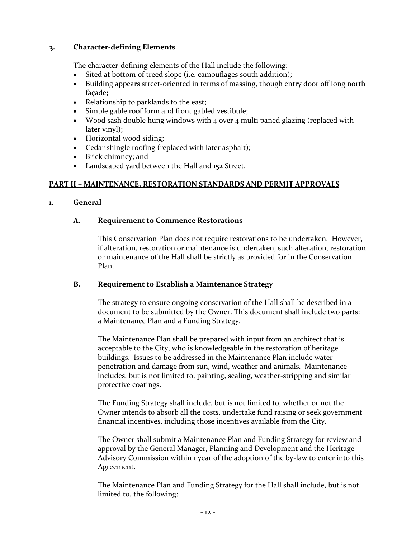## **3. Character-defining Elements**

The character-defining elements of the Hall include the following:

- Sited at bottom of treed slope (i.e. camouflages south addition);
- Building appears street-oriented in terms of massing, though entry door off long north façade;
- Relationship to parklands to the east;
- Simple gable roof form and front gabled vestibule;
- Wood sash double hung windows with 4 over 4 multi paned glazing (replaced with later vinyl);
- Horizontal wood siding;
- Cedar shingle roofing (replaced with later asphalt);
- Brick chimney; and
- Landscaped yard between the Hall and 152 Street.

## **PART II – MAINTENANCE, RESTORATION STANDARDS AND PERMIT APPROVALS**

## **1. General**

## **A. Requirement to Commence Restorations**

This Conservation Plan does not require restorations to be undertaken. However, if alteration, restoration or maintenance is undertaken, such alteration, restoration or maintenance of the Hall shall be strictly as provided for in the Conservation Plan.

## **B. Requirement to Establish a Maintenance Strategy**

The strategy to ensure ongoing conservation of the Hall shall be described in a document to be submitted by the Owner. This document shall include two parts: a Maintenance Plan and a Funding Strategy.

The Maintenance Plan shall be prepared with input from an architect that is acceptable to the City, who is knowledgeable in the restoration of heritage buildings. Issues to be addressed in the Maintenance Plan include water penetration and damage from sun, wind, weather and animals. Maintenance includes, but is not limited to, painting, sealing, weather-stripping and similar protective coatings.

The Funding Strategy shall include, but is not limited to, whether or not the Owner intends to absorb all the costs, undertake fund raising or seek government financial incentives, including those incentives available from the City.

The Owner shall submit a Maintenance Plan and Funding Strategy for review and approval by the General Manager, Planning and Development and the Heritage Advisory Commission within 1 year of the adoption of the by-law to enter into this Agreement.

The Maintenance Plan and Funding Strategy for the Hall shall include, but is not limited to, the following: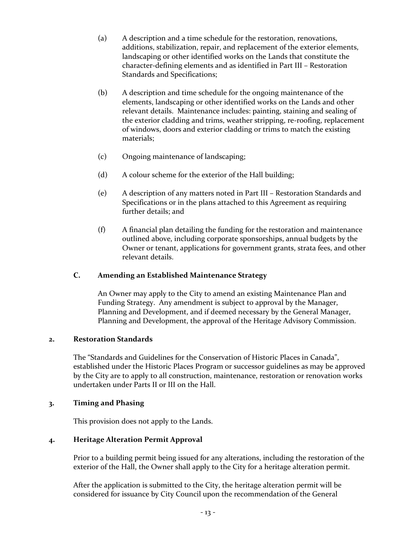- (a) A description and a time schedule for the restoration, renovations, additions, stabilization, repair, and replacement of the exterior elements, landscaping or other identified works on the Lands that constitute the character-defining elements and as identified in Part III – Restoration Standards and Specifications;
- (b) A description and time schedule for the ongoing maintenance of the elements, landscaping or other identified works on the Lands and other relevant details. Maintenance includes: painting, staining and sealing of the exterior cladding and trims, weather stripping, re-roofing, replacement of windows, doors and exterior cladding or trims to match the existing materials;
- (c) Ongoing maintenance of landscaping;
- (d) A colour scheme for the exterior of the Hall building;
- (e) A description of any matters noted in Part III Restoration Standards and Specifications or in the plans attached to this Agreement as requiring further details; and
- (f) A financial plan detailing the funding for the restoration and maintenance outlined above, including corporate sponsorships, annual budgets by the Owner or tenant, applications for government grants, strata fees, and other relevant details.

## **C. Amending an Established Maintenance Strategy**

An Owner may apply to the City to amend an existing Maintenance Plan and Funding Strategy. Any amendment is subject to approval by the Manager, Planning and Development, and if deemed necessary by the General Manager, Planning and Development, the approval of the Heritage Advisory Commission.

## **2. Restoration Standards**

The "Standards and Guidelines for the Conservation of Historic Places in Canada", established under the Historic Places Program or successor guidelines as may be approved by the City are to apply to all construction, maintenance, restoration or renovation works undertaken under Parts II or III on the Hall.

## **3. Timing and Phasing**

This provision does not apply to the Lands.

# **4. Heritage Alteration Permit Approval**

Prior to a building permit being issued for any alterations, including the restoration of the exterior of the Hall, the Owner shall apply to the City for a heritage alteration permit.

After the application is submitted to the City, the heritage alteration permit will be considered for issuance by City Council upon the recommendation of the General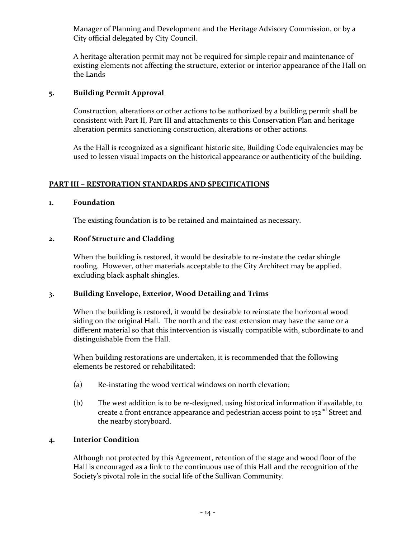Manager of Planning and Development and the Heritage Advisory Commission, or by a City official delegated by City Council.

A heritage alteration permit may not be required for simple repair and maintenance of existing elements not affecting the structure, exterior or interior appearance of the Hall on the Lands

# **5. Building Permit Approval**

Construction, alterations or other actions to be authorized by a building permit shall be consistent with Part II, Part III and attachments to this Conservation Plan and heritage alteration permits sanctioning construction, alterations or other actions.

As the Hall is recognized as a significant historic site, Building Code equivalencies may be used to lessen visual impacts on the historical appearance or authenticity of the building.

# **PART III – RESTORATION STANDARDS AND SPECIFICATIONS**

## **1. Foundation**

The existing foundation is to be retained and maintained as necessary.

## **2. Roof Structure and Cladding**

When the building is restored, it would be desirable to re-instate the cedar shingle roofing. However, other materials acceptable to the City Architect may be applied, excluding black asphalt shingles.

## **3. Building Envelope, Exterior, Wood Detailing and Trims**

When the building is restored, it would be desirable to reinstate the horizontal wood siding on the original Hall. The north and the east extension may have the same or a different material so that this intervention is visually compatible with, subordinate to and distinguishable from the Hall.

When building restorations are undertaken, it is recommended that the following elements be restored or rehabilitated:

- (a) Re-instating the wood vertical windows on north elevation;
- (b) The west addition is to be re-designed, using historical information if available, to create a front entrance appearance and pedestrian access point to  $152<sup>nd</sup>$  Street and the nearby storyboard.

## **4. Interior Condition**

Although not protected by this Agreement, retention of the stage and wood floor of the Hall is encouraged as a link to the continuous use of this Hall and the recognition of the Society's pivotal role in the social life of the Sullivan Community.